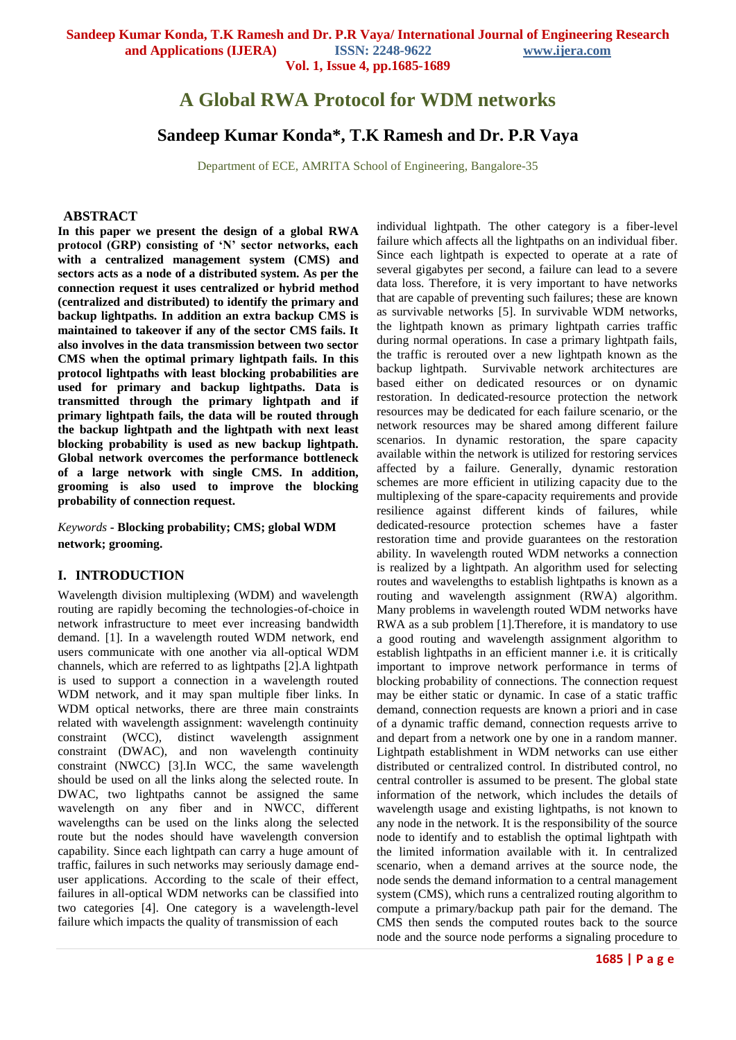**Vol. 1, Issue 4, pp.1685-1689**

# **A Global RWA Protocol for WDM networks**

# **Sandeep Kumar Konda\*, T.K Ramesh and Dr. P.R Vaya**

Department of ECE, AMRITA School of Engineering, Bangalore-35

#### **ABSTRACT**

**In this paper we present the design of a global RWA protocol (GRP) consisting of 'N' sector networks, each with a centralized management system (CMS) and sectors acts as a node of a distributed system. As per the connection request it uses centralized or hybrid method (centralized and distributed) to identify the primary and backup lightpaths. In addition an extra backup CMS is maintained to takeover if any of the sector CMS fails. It also involves in the data transmission between two sector CMS when the optimal primary lightpath fails. In this protocol lightpaths with least blocking probabilities are used for primary and backup lightpaths. Data is transmitted through the primary lightpath and if primary lightpath fails, the data will be routed through the backup lightpath and the lightpath with next least blocking probability is used as new backup lightpath. Global network overcomes the performance bottleneck of a large network with single CMS. In addition, grooming is also used to improve the blocking probability of connection request.** 

*Keywords* **- Blocking probability; CMS; global WDM network; grooming.**

#### **I. INTRODUCTION**

Wavelength division multiplexing (WDM) and wavelength routing are rapidly becoming the technologies-of-choice in network infrastructure to meet ever increasing bandwidth demand. [1]. In a wavelength routed WDM network, end users communicate with one another via all-optical WDM channels, which are referred to as lightpaths [2].A lightpath is used to support a connection in a wavelength routed WDM network, and it may span multiple fiber links. In WDM optical networks, there are three main constraints related with wavelength assignment: wavelength continuity constraint (WCC), distinct wavelength assignment constraint (DWAC), and non wavelength continuity constraint (NWCC) [3].In WCC, the same wavelength should be used on all the links along the selected route. In DWAC, two lightpaths cannot be assigned the same wavelength on any fiber and in NWCC, different wavelengths can be used on the links along the selected route but the nodes should have wavelength conversion capability. Since each lightpath can carry a huge amount of traffic, failures in such networks may seriously damage enduser applications. According to the scale of their effect, failures in all-optical WDM networks can be classified into two categories [4]. One category is a wavelength-level failure which impacts the quality of transmission of each

individual lightpath. The other category is a fiber-level failure which affects all the lightpaths on an individual fiber. Since each lightpath is expected to operate at a rate of several gigabytes per second, a failure can lead to a severe data loss. Therefore, it is very important to have networks that are capable of preventing such failures; these are known as survivable networks [5]. In survivable WDM networks, the lightpath known as primary lightpath carries traffic during normal operations. In case a primary lightpath fails, the traffic is rerouted over a new lightpath known as the backup lightpath. Survivable network architectures are based either on dedicated resources or on dynamic restoration. In dedicated-resource protection the network resources may be dedicated for each failure scenario, or the network resources may be shared among different failure scenarios. In dynamic restoration, the spare capacity available within the network is utilized for restoring services affected by a failure. Generally, dynamic restoration schemes are more efficient in utilizing capacity due to the multiplexing of the spare-capacity requirements and provide resilience against different kinds of failures, while dedicated-resource protection schemes have a faster restoration time and provide guarantees on the restoration ability. In wavelength routed WDM networks a connection is realized by a lightpath. An algorithm used for selecting routes and wavelengths to establish lightpaths is known as a routing and wavelength assignment (RWA) algorithm. Many problems in wavelength routed WDM networks have RWA as a sub problem [1].Therefore, it is mandatory to use a good routing and wavelength assignment algorithm to establish lightpaths in an efficient manner i.e. it is critically important to improve network performance in terms of blocking probability of connections. The connection request may be either static or dynamic. In case of a static traffic demand, connection requests are known a priori and in case of a dynamic traffic demand, connection requests arrive to and depart from a network one by one in a random manner. Lightpath establishment in WDM networks can use either distributed or centralized control. In distributed control, no central controller is assumed to be present. The global state information of the network, which includes the details of wavelength usage and existing lightpaths, is not known to any node in the network. It is the responsibility of the source node to identify and to establish the optimal lightpath with the limited information available with it. In centralized scenario, when a demand arrives at the source node, the node sends the demand information to a central management system (CMS), which runs a centralized routing algorithm to compute a primary/backup path pair for the demand. The CMS then sends the computed routes back to the source node and the source node performs a signaling procedure to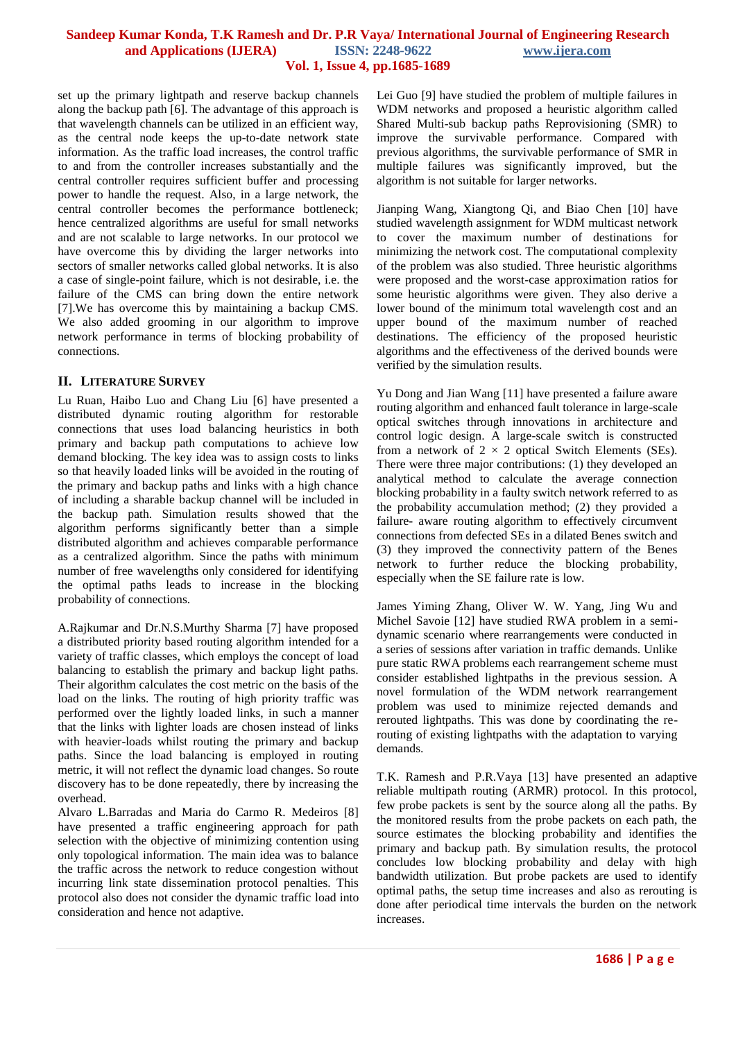set up the primary lightpath and reserve backup channels along the backup path [6]. The advantage of this approach is that wavelength channels can be utilized in an efficient way, as the central node keeps the up-to-date network state information. As the traffic load increases, the control traffic to and from the controller increases substantially and the central controller requires sufficient buffer and processing power to handle the request. Also, in a large network, the central controller becomes the performance bottleneck; hence centralized algorithms are useful for small networks and are not scalable to large networks. In our protocol we have overcome this by dividing the larger networks into sectors of smaller networks called global networks. It is also a case of single-point failure, which is not desirable, i.e. the failure of the CMS can bring down the entire network [7].We has overcome this by maintaining a backup CMS. We also added grooming in our algorithm to improve network performance in terms of blocking probability of connections.

## **II. LITERATURE SURVEY**

Lu Ruan, Haibo Luo and Chang Liu [6] have presented a distributed dynamic routing algorithm for restorable connections that uses load balancing heuristics in both primary and backup path computations to achieve low demand blocking. The key idea was to assign costs to links so that heavily loaded links will be avoided in the routing of the primary and backup paths and links with a high chance of including a sharable backup channel will be included in the backup path. Simulation results showed that the algorithm performs significantly better than a simple distributed algorithm and achieves comparable performance as a centralized algorithm. Since the paths with minimum number of free wavelengths only considered for identifying the optimal paths leads to increase in the blocking probability of connections.

A.Rajkumar and Dr.N.S.Murthy Sharma [7] have proposed a distributed priority based routing algorithm intended for a variety of traffic classes, which employs the concept of load balancing to establish the primary and backup light paths. Their algorithm calculates the cost metric on the basis of the load on the links. The routing of high priority traffic was performed over the lightly loaded links, in such a manner that the links with lighter loads are chosen instead of links with heavier-loads whilst routing the primary and backup paths. Since the load balancing is employed in routing metric, it will not reflect the dynamic load changes. So route discovery has to be done repeatedly, there by increasing the overhead.

Alvaro L.Barradas and Maria do Carmo R. Medeiros [8] have presented a traffic engineering approach for path selection with the objective of minimizing contention using only topological information. The main idea was to balance the traffic across the network to reduce congestion without incurring link state dissemination protocol penalties. This protocol also does not consider the dynamic traffic load into consideration and hence not adaptive.

Lei Guo [9] have studied the problem of multiple failures in WDM networks and proposed a heuristic algorithm called Shared Multi-sub backup paths Reprovisioning (SMR) to improve the survivable performance. Compared with previous algorithms, the survivable performance of SMR in multiple failures was significantly improved, but the algorithm is not suitable for larger networks.

Jianping Wang, Xiangtong Qi, and Biao Chen [10] have studied wavelength assignment for WDM multicast network to cover the maximum number of destinations for minimizing the network cost. The computational complexity of the problem was also studied. Three heuristic algorithms were proposed and the worst-case approximation ratios for some heuristic algorithms were given. They also derive a lower bound of the minimum total wavelength cost and an upper bound of the maximum number of reached destinations. The efficiency of the proposed heuristic algorithms and the effectiveness of the derived bounds were verified by the simulation results.

Yu Dong and Jian Wang [11] have presented a failure aware routing algorithm and enhanced fault tolerance in large-scale optical switches through innovations in architecture and control logic design. A large-scale switch is constructed from a network of  $2 \times 2$  optical Switch Elements (SEs). There were three major contributions: (1) they developed an analytical method to calculate the average connection blocking probability in a faulty switch network referred to as the probability accumulation method; (2) they provided a failure- aware routing algorithm to effectively circumvent connections from defected SEs in a dilated Benes switch and (3) they improved the connectivity pattern of the Benes network to further reduce the blocking probability, especially when the SE failure rate is low.

James Yiming Zhang, Oliver W. W. Yang, Jing Wu and Michel Savoie [12] have studied RWA problem in a semidynamic scenario where rearrangements were conducted in a series of sessions after variation in traffic demands. Unlike pure static RWA problems each rearrangement scheme must consider established lightpaths in the previous session. A novel formulation of the WDM network rearrangement problem was used to minimize rejected demands and rerouted lightpaths. This was done by coordinating the rerouting of existing lightpaths with the adaptation to varying demands.

T.K. Ramesh and P.R.Vaya [13] have presented an adaptive reliable multipath routing (ARMR) protocol. In this protocol, few probe packets is sent by the source along all the paths. By the monitored results from the probe packets on each path, the source estimates the blocking probability and identifies the primary and backup path. By simulation results, the protocol concludes low blocking probability and delay with high bandwidth utilization. But probe packets are used to identify optimal paths, the setup time increases and also as rerouting is done after periodical time intervals the burden on the network increases.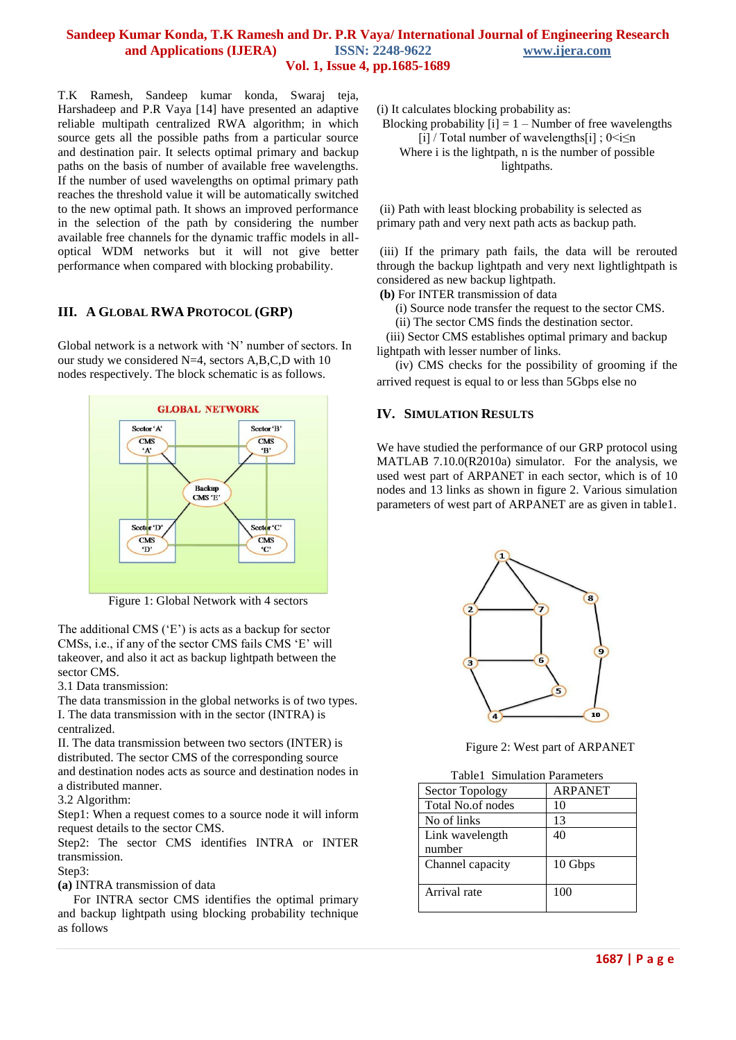T.K Ramesh, Sandeep kumar konda, Swaraj teja, Harshadeep and P.R Vaya [14] have presented an adaptive reliable multipath centralized RWA algorithm; in which source gets all the possible paths from a particular source and destination pair. It selects optimal primary and backup paths on the basis of number of available free wavelengths. If the number of used wavelengths on optimal primary path reaches the threshold value it will be automatically switched to the new optimal path. It shows an improved performance in the selection of the path by considering the number available free channels for the dynamic traffic models in alloptical WDM networks but it will not give better performance when compared with blocking probability.

# **III. A GLOBAL RWA PROTOCOL (GRP)**

Global network is a network with "N" number of sectors. In our study we considered N=4, sectors A,B,C,D with 10 nodes respectively. The block schematic is as follows.



Figure 1: Global Network with 4 sectors

The additional CMS  $(F)$  is acts as a backup for sector CMSs, i.e., if any of the sector CMS fails CMS 'E' will takeover, and also it act as backup lightpath between the sector CMS.

3.1 Data transmission:

The data transmission in the global networks is of two types. I. The data transmission with in the sector (INTRA) is centralized.

II. The data transmission between two sectors (INTER) is distributed. The sector CMS of the corresponding source and destination nodes acts as source and destination nodes in a distributed manner.

3.2 Algorithm:

Step1: When a request comes to a source node it will inform request details to the sector CMS.

Step2: The sector CMS identifies INTRA or INTER transmission.

Step3:

**(a)** INTRA transmission of data

 For INTRA sector CMS identifies the optimal primary and backup lightpath using blocking probability technique as follows

(i) It calculates blocking probability as:

Blocking probability  $[i] = 1 -$  Number of free wavelengths [i] / Total number of wavelengths[i] ;  $0 \le i \le n$ Where i is the lightpath, n is the number of possible lightpaths.

(ii) Path with least blocking probability is selected as primary path and very next path acts as backup path.

(iii) If the primary path fails, the data will be rerouted through the backup lightpath and very next lightlightpath is considered as new backup lightpath.

**(b)** For INTER transmission of data

(i) Source node transfer the request to the sector CMS.

(ii) The sector CMS finds the destination sector.

 (iii) Sector CMS establishes optimal primary and backup lightpath with lesser number of links.

 (iv) CMS checks for the possibility of grooming if the arrived request is equal to or less than 5Gbps else no

#### **IV. SIMULATION RESULTS**

We have studied the performance of our GRP protocol using MATLAB 7.10.0(R2010a) simulator. For the analysis, we used west part of ARPANET in each sector, which is of 10 nodes and 13 links as shown in figure 2. Various simulation parameters of west part of ARPANET are as given in table1.



Figure 2: West part of ARPANET

| <b>Table1</b> Simulation Parameters |         |  |  |  |  |
|-------------------------------------|---------|--|--|--|--|
| <b>Sector Topology</b>              | ARPANET |  |  |  |  |
| <b>Total No.of nodes</b>            | 10      |  |  |  |  |
| No of links                         | 13      |  |  |  |  |
| Link wavelength                     | 40      |  |  |  |  |
| number                              |         |  |  |  |  |
| Channel capacity                    | 10 Gbps |  |  |  |  |
|                                     |         |  |  |  |  |
| Arrival rate                        | 100     |  |  |  |  |
|                                     |         |  |  |  |  |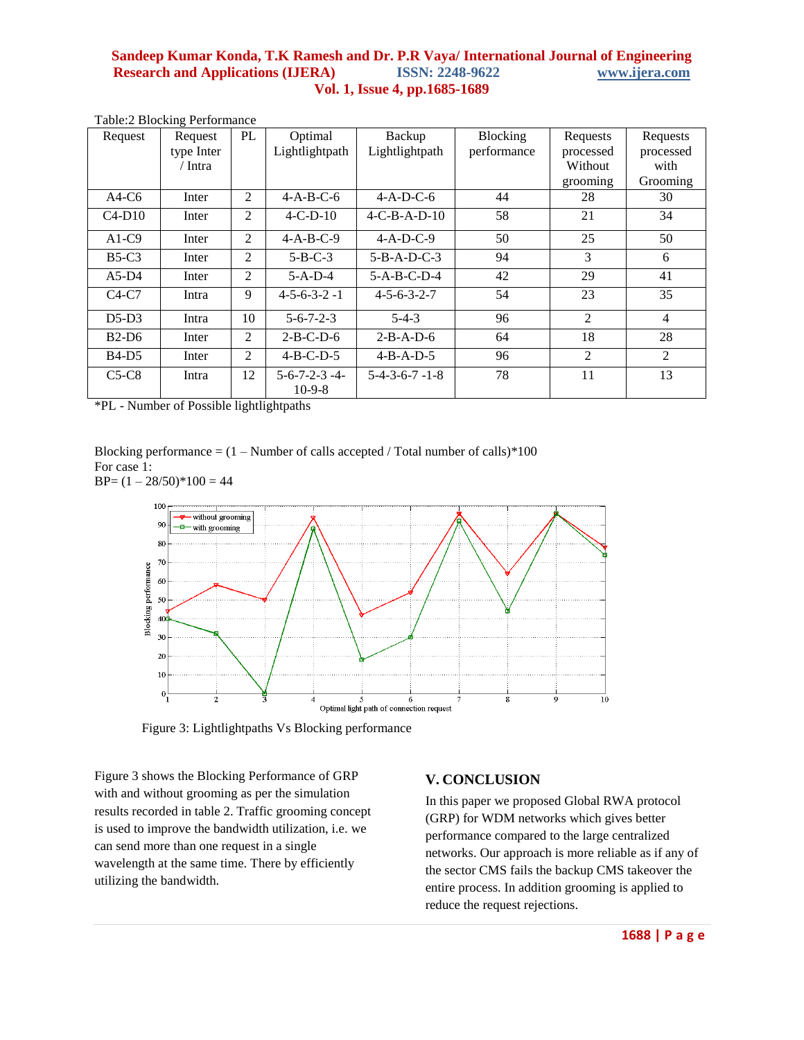| Request  | Request    | PL | Optimal                             | Backup                  | Blocking    | Requests  | Requests       |
|----------|------------|----|-------------------------------------|-------------------------|-------------|-----------|----------------|
|          | type Inter |    | Lightlightpath                      | Lightlightpath          | performance | processed | processed      |
|          | / Intra    |    |                                     |                         |             | Without   | with           |
|          |            |    |                                     |                         |             | grooming  | Grooming       |
| $A4-C6$  | Inter      | 2  | $4-A-B-C-6$                         | $4-A-D-C-6$             | 44          | 28        | 30             |
| $C4-D10$ | Inter      | 2  | $4 - C - D - 10$                    | $4-C-B-A-D-10$          | 58          | 21        | 34             |
| $A1-C9$  | Inter      | 2  | $4-A-B-C-9$                         | $4 - A - D - C - 9$     | 50          | 25        | 50             |
| $B5-C3$  | Inter      | 2  | $5 - B - C - 3$                     | $5 - B - A - D - C - 3$ | 94          | 3         | 6              |
| $A5-D4$  | Inter      | 2  | $5-A-D-4$                           | $5 - A - B - C - D - 4$ | 42          | 29        | 41             |
| $C4-C7$  | Intra      | 9  | $4 - 5 - 6 - 3 - 2 - 1$             | $4 - 5 - 6 - 3 - 2 - 7$ | 54          | 23        | 35             |
| $D5-D3$  | Intra      | 10 | $5 - 6 - 7 - 2 - 3$                 | $5 - 4 - 3$             | 96          | 2         | $\overline{4}$ |
| $B2-D6$  | Inter      | 2  | $2-B-C-D-6$                         | $2-B-A-D-6$             | 64          | 18        | 28             |
| $B4-D5$  | Inter      | 2  | $4-B-C-D-5$                         | $4 - B - A - D - 5$     | 96          | 2         | $\overline{2}$ |
| $C5-C8$  | Intra      | 12 | $5 - 6 - 7 - 2 - 3 - 4$<br>$10-9-8$ | $5-4-3-6-7-1-8$         | 78          | 11        | 13             |

Table:2 Blocking Performance

\*PL - Number of Possible lightlightpaths

Blocking performance  $= (1 -$  Number of calls accepted / Total number of calls)\*100 For case 1:





Figure 3: Lightlightpaths Vs Blocking performance

Figure 3 shows the Blocking Performance of GRP with and without grooming as per the simulation results recorded in table 2. Traffic grooming concept is used to improve the bandwidth utilization, i.e. we can send more than one request in a single wavelength at the same time. There by efficiently utilizing the bandwidth.

# **V. CONCLUSION**

In this paper we proposed Global RWA protocol (GRP) for WDM networks which gives better performance compared to the large centralized networks. Our approach is more reliable as if any of the sector CMS fails the backup CMS takeover the entire process. In addition grooming is applied to reduce the request rejections.